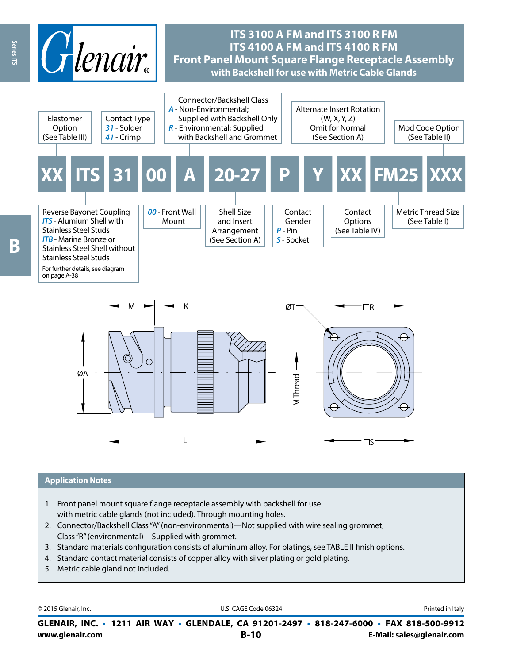



#### **Application Notes**

- 1. Front panel mount square flange receptacle assembly with backshell for use with metric cable glands (not included). Through mounting holes.
- 2. Connector/Backshell Class "A" (non-environmental)—Not supplied with wire sealing grommet; Class "R" (environmental)—Supplied with grommet.
- 3. Standard materials configuration consists of aluminum alloy. For platings, see TABLE II finish options.
- 4. Standard contact material consists of copper alloy with silver plating or gold plating.
- 5. Metric cable gland not included.

© 2015 Glenair, Inc. **Discription Construction Construction Construction Construction Construction Construction Construction Construction Construction Construction Construction Construction Construction Construction Constr** 

**www.glenair.com B-10 E-Mail: sales@glenair.com GLENAIR, INC. • 1211 AIR WAY • GLENDALE, CA 91201-2497 • 818-247-6000 • FAX 818-500-9912**